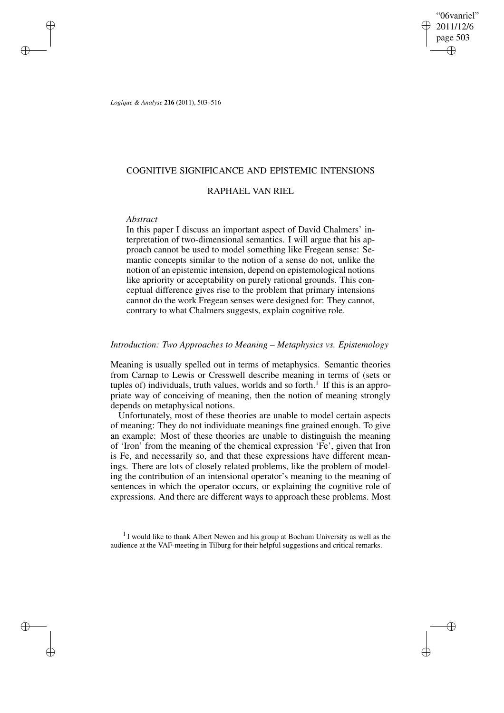"06vanriel" 2011/12/6 page 503 ✐ ✐

✐

✐

*Logique & Analyse* **216** (2011), 503–516

# COGNITIVE SIGNIFICANCE AND EPISTEMIC INTENSIONS

# RAPHAEL VAN RIEL

### *Abstract*

✐

✐

✐

✐

In this paper I discuss an important aspect of David Chalmers' interpretation of two-dimensional semantics. I will argue that his approach cannot be used to model something like Fregean sense: Semantic concepts similar to the notion of a sense do not, unlike the notion of an epistemic intension, depend on epistemological notions like apriority or acceptability on purely rational grounds. This conceptual difference gives rise to the problem that primary intensions cannot do the work Fregean senses were designed for: They cannot, contrary to what Chalmers suggests, explain cognitive role.

## *Introduction: Two Approaches to Meaning – Metaphysics vs. Epistemology*

Meaning is usually spelled out in terms of metaphysics. Semantic theories from Carnap to Lewis or Cresswell describe meaning in terms of (sets or tuples of) individuals, truth values, worlds and so forth.<sup>1</sup> If this is an appropriate way of conceiving of meaning, then the notion of meaning strongly depends on metaphysical notions.

Unfortunately, most of these theories are unable to model certain aspects of meaning: They do not individuate meanings fine grained enough. To give an example: Most of these theories are unable to distinguish the meaning of 'Iron' from the meaning of the chemical expression 'Fe', given that Iron is Fe, and necessarily so, and that these expressions have different meanings. There are lots of closely related problems, like the problem of modeling the contribution of an intensional operator's meaning to the meaning of sentences in which the operator occurs, or explaining the cognitive role of expressions. And there are different ways to approach these problems. Most

 $1$ I would like to thank Albert Newen and his group at Bochum University as well as the audience at the VAF-meeting in Tilburg for their helpful suggestions and critical remarks.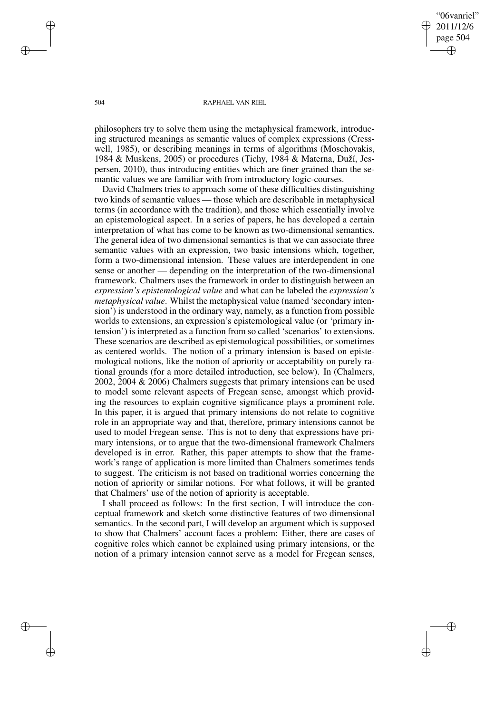"06vanriel" 2011/12/6 page 504 ✐ ✐

✐

✐

#### 504 RAPHAEL VAN RIEL

philosophers try to solve them using the metaphysical framework, introducing structured meanings as semantic values of complex expressions (Cresswell, 1985), or describing meanings in terms of algorithms (Moschovakis, 1984 & Muskens, 2005) or procedures (Tichy, 1984 & Materna, Duží, Jespersen, 2010), thus introducing entities which are finer grained than the semantic values we are familiar with from introductory logic-courses.

David Chalmers tries to approach some of these difficulties distinguishing two kinds of semantic values — those which are describable in metaphysical terms (in accordance with the tradition), and those which essentially involve an epistemological aspect. In a series of papers, he has developed a certain interpretation of what has come to be known as two-dimensional semantics. The general idea of two dimensional semantics is that we can associate three semantic values with an expression, two basic intensions which, together, form a two-dimensional intension. These values are interdependent in one sense or another — depending on the interpretation of the two-dimensional framework. Chalmers uses the framework in order to distinguish between an *expression's epistemological value* and what can be labeled the *expression's metaphysical value*. Whilst the metaphysical value (named 'secondary intension') is understood in the ordinary way, namely, as a function from possible worlds to extensions, an expression's epistemological value (or 'primary intension') is interpreted as a function from so called 'scenarios' to extensions. These scenarios are described as epistemological possibilities, or sometimes as centered worlds. The notion of a primary intension is based on epistemological notions, like the notion of apriority or acceptability on purely rational grounds (for a more detailed introduction, see below). In (Chalmers, 2002, 2004 & 2006) Chalmers suggests that primary intensions can be used to model some relevant aspects of Fregean sense, amongst which providing the resources to explain cognitive significance plays a prominent role. In this paper, it is argued that primary intensions do not relate to cognitive role in an appropriate way and that, therefore, primary intensions cannot be used to model Fregean sense. This is not to deny that expressions have primary intensions, or to argue that the two-dimensional framework Chalmers developed is in error. Rather, this paper attempts to show that the framework's range of application is more limited than Chalmers sometimes tends to suggest. The criticism is not based on traditional worries concerning the notion of apriority or similar notions. For what follows, it will be granted that Chalmers' use of the notion of apriority is acceptable.

I shall proceed as follows: In the first section, I will introduce the conceptual framework and sketch some distinctive features of two dimensional semantics. In the second part, I will develop an argument which is supposed to show that Chalmers' account faces a problem: Either, there are cases of cognitive roles which cannot be explained using primary intensions, or the notion of a primary intension cannot serve as a model for Fregean senses,

✐

✐

✐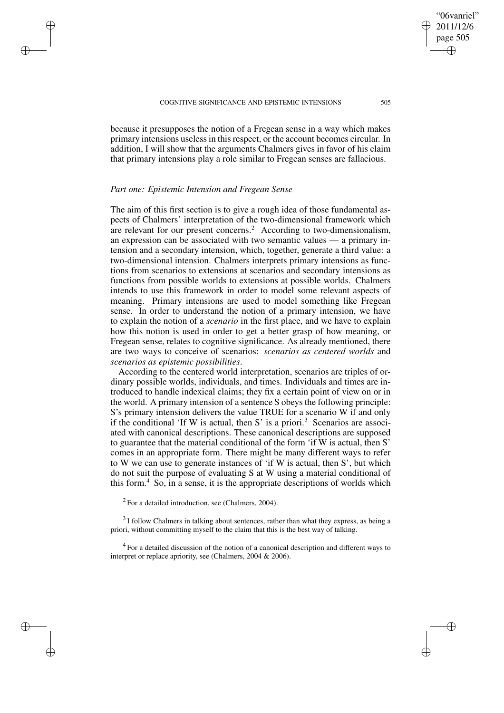because it presupposes the notion of a Fregean sense in a way which makes primary intensions uselessin this respect, or the account becomes circular. In addition, I will show that the arguments Chalmers gives in favor of his claim that primary intensions play a role similar to Fregean senses are fallacious.

## *Part one: Epistemic Intension and Fregean Sense*

✐

✐

✐

✐

The aim of this first section is to give a rough idea of those fundamental aspects of Chalmers' interpretation of the two-dimensional framework which are relevant for our present concerns.<sup>2</sup> According to two-dimensionalism, an expression can be associated with two semantic values — a primary intension and a secondary intension, which, together, generate a third value: a two-dimensional intension. Chalmers interprets primary intensions as functions from scenarios to extensions at scenarios and secondary intensions as functions from possible worlds to extensions at possible worlds. Chalmers intends to use this framework in order to model some relevant aspects of meaning. Primary intensions are used to model something like Fregean sense. In order to understand the notion of a primary intension, we have to explain the notion of a *scenario* in the first place, and we have to explain how this notion is used in order to get a better grasp of how meaning, or Fregean sense, relates to cognitive significance. As already mentioned, there are two ways to conceive of scenarios: *scenarios as centered worlds* and *scenarios as epistemic possibilities*.

According to the centered world interpretation, scenarios are triples of ordinary possible worlds, individuals, and times. Individuals and times are introduced to handle indexical claims; they fix a certain point of view on or in the world. A primary intension of a sentence S obeys the following principle: S's primary intension delivers the value TRUE for a scenario W if and only if the conditional 'If W is actual, then S' is a priori.<sup>3</sup> Scenarios are associated with canonical descriptions. These canonical descriptions are supposed to guarantee that the material conditional of the form 'if W is actual, then S' comes in an appropriate form. There might be many different ways to refer to W we can use to generate instances of 'if W is actual, then S', but which do not suit the purpose of evaluating S at W using a material conditional of this form.<sup>4</sup> So, in a sense, it is the appropriate descriptions of worlds which

 $2$  For a detailed introduction, see (Chalmers, 2004).

 $3$ I follow Chalmers in talking about sentences, rather than what they express, as being a priori, without committing myself to the claim that this is the best way of talking.

<sup>4</sup> For a detailed discussion of the notion of a canonical description and different ways to interpret or replace apriority, see (Chalmers, 2004 & 2006).

"06vanriel" 2011/12/6 page 505

✐

✐

✐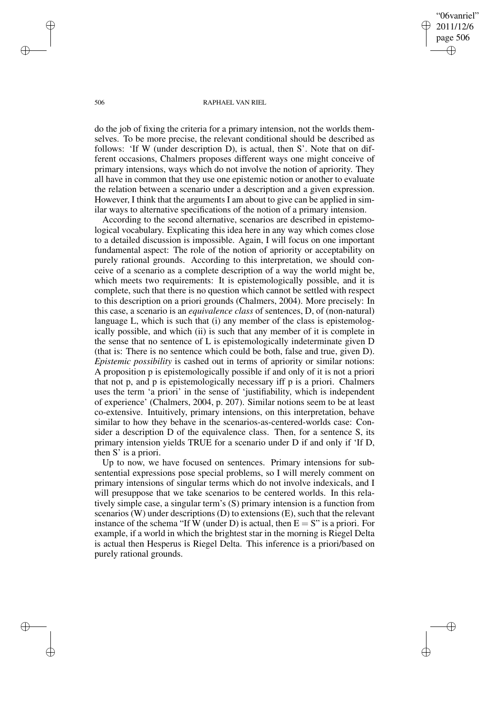"06vanriel" 2011/12/6 page 506 ✐ ✐

✐

✐

#### 506 RAPHAEL VAN RIEL

do the job of fixing the criteria for a primary intension, not the worlds themselves. To be more precise, the relevant conditional should be described as follows: 'If W (under description D), is actual, then S'. Note that on different occasions, Chalmers proposes different ways one might conceive of primary intensions, ways which do not involve the notion of apriority. They all have in common that they use one epistemic notion or another to evaluate the relation between a scenario under a description and a given expression. However, I think that the arguments I am about to give can be applied in similar ways to alternative specifications of the notion of a primary intension.

According to the second alternative, scenarios are described in epistemological vocabulary. Explicating this idea here in any way which comes close to a detailed discussion is impossible. Again, I will focus on one important fundamental aspect: The role of the notion of apriority or acceptability on purely rational grounds. According to this interpretation, we should conceive of a scenario as a complete description of a way the world might be, which meets two requirements: It is epistemologically possible, and it is complete, such that there is no question which cannot be settled with respect to this description on a priori grounds (Chalmers, 2004). More precisely: In this case, a scenario is an *equivalence class* of sentences, D, of (non-natural) language L, which is such that (i) any member of the class is epistemologically possible, and which (ii) is such that any member of it is complete in the sense that no sentence of L is epistemologically indeterminate given D (that is: There is no sentence which could be both, false and true, given D). *Epistemic possibility* is cashed out in terms of apriority or similar notions: A proposition p is epistemologically possible if and only of it is not a priori that not p, and p is epistemologically necessary iff p is a priori. Chalmers uses the term 'a priori' in the sense of 'justifiability, which is independent of experience' (Chalmers, 2004, p. 207). Similar notions seem to be at least co-extensive. Intuitively, primary intensions, on this interpretation, behave similar to how they behave in the scenarios-as-centered-worlds case: Consider a description D of the equivalence class. Then, for a sentence S, its primary intension yields TRUE for a scenario under D if and only if 'If D, then S' is a priori.

Up to now, we have focused on sentences. Primary intensions for subsentential expressions pose special problems, so I will merely comment on primary intensions of singular terms which do not involve indexicals, and I will presuppose that we take scenarios to be centered worlds. In this relatively simple case, a singular term's (S) primary intension is a function from scenarios (W) under descriptions (D) to extensions (E), such that the relevant instance of the schema "If W (under D) is actual, then  $E = S$ " is a priori. For example, if a world in which the brightest star in the morning is Riegel Delta is actual then Hesperus is Riegel Delta. This inference is a priori/based on purely rational grounds.

✐

✐

✐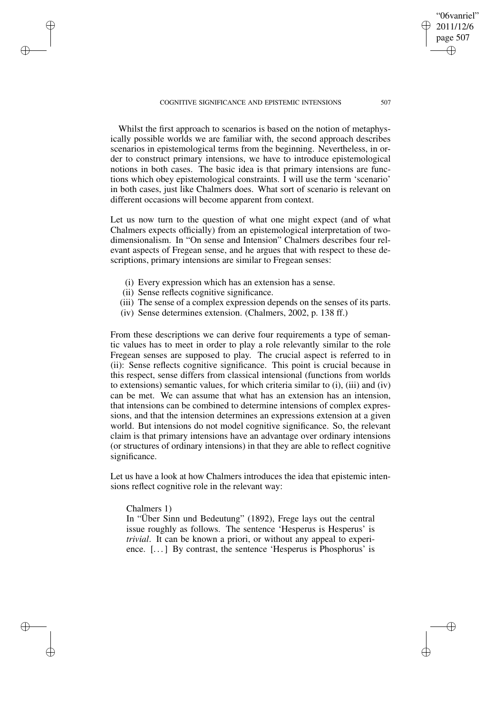Whilst the first approach to scenarios is based on the notion of metaphysically possible worlds we are familiar with, the second approach describes scenarios in epistemological terms from the beginning. Nevertheless, in order to construct primary intensions, we have to introduce epistemological notions in both cases. The basic idea is that primary intensions are functions which obey epistemological constraints. I will use the term 'scenario' in both cases, just like Chalmers does. What sort of scenario is relevant on different occasions will become apparent from context.

Let us now turn to the question of what one might expect (and of what Chalmers expects officially) from an epistemological interpretation of twodimensionalism. In "On sense and Intension" Chalmers describes four relevant aspects of Fregean sense, and he argues that with respect to these descriptions, primary intensions are similar to Fregean senses:

- (i) Every expression which has an extension has a sense.
- (ii) Sense reflects cognitive significance.
- (iii) The sense of a complex expression depends on the senses of its parts.
- (iv) Sense determines extension. (Chalmers, 2002, p. 138 ff.)

From these descriptions we can derive four requirements a type of semantic values has to meet in order to play a role relevantly similar to the role Fregean senses are supposed to play. The crucial aspect is referred to in (ii): Sense reflects cognitive significance. This point is crucial because in this respect, sense differs from classical intensional (functions from worlds to extensions) semantic values, for which criteria similar to (i), (iii) and (iv) can be met. We can assume that what has an extension has an intension, that intensions can be combined to determine intensions of complex expressions, and that the intension determines an expressions extension at a given world. But intensions do not model cognitive significance. So, the relevant claim is that primary intensions have an advantage over ordinary intensions (or structures of ordinary intensions) in that they are able to reflect cognitive significance.

Let us have a look at how Chalmers introduces the idea that epistemic intensions reflect cognitive role in the relevant way:

# Chalmers 1)

✐

✐

✐

✐

In "Über Sinn und Bedeutung" (1892), Frege lays out the central issue roughly as follows. The sentence 'Hesperus is Hesperus' is *trivial*. It can be known a priori, or without any appeal to experience. [. . .] By contrast, the sentence 'Hesperus is Phosphorus' is

"06vanriel" 2011/12/6 page 507

✐

✐

✐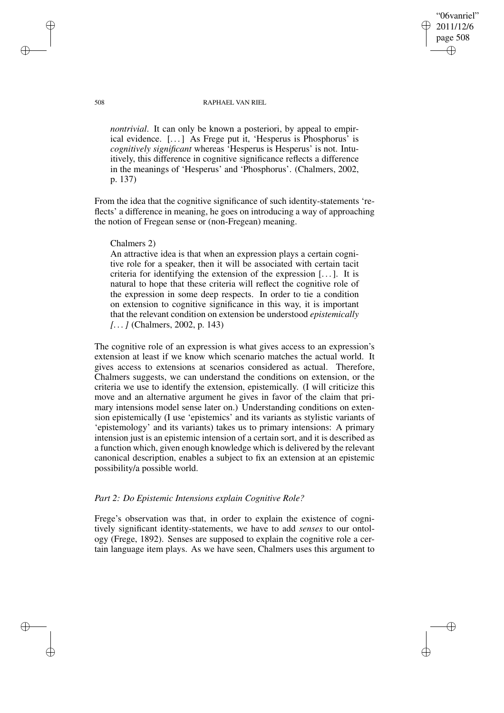## "06vanriel" 2011/12/6 page 508 ✐ ✐

✐

✐

#### 508 RAPHAEL VAN RIEL

*nontrivial*. It can only be known a posteriori, by appeal to empirical evidence. [. . .] As Frege put it, 'Hesperus is Phosphorus' is *cognitively significant* whereas 'Hesperus is Hesperus' is not. Intuitively, this difference in cognitive significance reflects a difference in the meanings of 'Hesperus' and 'Phosphorus'. (Chalmers, 2002, p. 137)

From the idea that the cognitive significance of such identity-statements 'reflects' a difference in meaning, he goes on introducing a way of approaching the notion of Fregean sense or (non-Fregean) meaning.

## Chalmers 2)

An attractive idea is that when an expression plays a certain cognitive role for a speaker, then it will be associated with certain tacit criteria for identifying the extension of the expression [. . .]. It is natural to hope that these criteria will reflect the cognitive role of the expression in some deep respects. In order to tie a condition on extension to cognitive significance in this way, it is important that the relevant condition on extension be understood *epistemically [. . .]* (Chalmers, 2002, p. 143)

The cognitive role of an expression is what gives access to an expression's extension at least if we know which scenario matches the actual world. It gives access to extensions at scenarios considered as actual. Therefore, Chalmers suggests, we can understand the conditions on extension, or the criteria we use to identify the extension, epistemically. (I will criticize this move and an alternative argument he gives in favor of the claim that primary intensions model sense later on.) Understanding conditions on extension epistemically (I use 'epistemics' and its variants as stylistic variants of 'epistemology' and its variants) takes us to primary intensions: A primary intension just is an epistemic intension of a certain sort, and it is described as a function which, given enough knowledge which is delivered by the relevant canonical description, enables a subject to fix an extension at an epistemic possibility/a possible world.

### *Part 2: Do Epistemic Intensions explain Cognitive Role?*

Frege's observation was that, in order to explain the existence of cognitively significant identity-statements, we have to add *senses* to our ontology (Frege, 1892). Senses are supposed to explain the cognitive role a certain language item plays. As we have seen, Chalmers uses this argument to

✐

✐

✐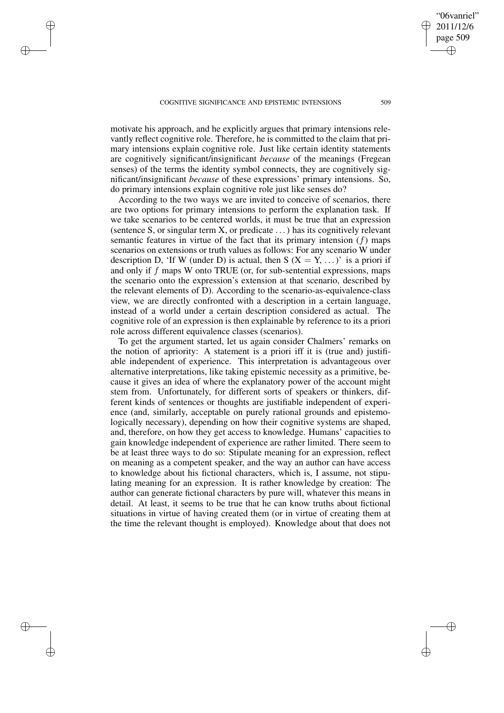✐

✐

✐

✐

motivate his approach, and he explicitly argues that primary intensions relevantly reflect cognitive role. Therefore, he is committed to the claim that primary intensions explain cognitive role. Just like certain identity statements are cognitively significant/insignificant *because* of the meanings (Fregean senses) of the terms the identity symbol connects, they are cognitively significant/insignificant *because* of these expressions' primary intensions. So, do primary intensions explain cognitive role just like senses do?

According to the two ways we are invited to conceive of scenarios, there are two options for primary intensions to perform the explanation task. If we take scenarios to be centered worlds, it must be true that an expression (sentence S, or singular term X, or predicate . . .) has its cognitively relevant semantic features in virtue of the fact that its primary intension  $(f)$  maps scenarios on extensions or truth values as follows: For any scenario W under description D, 'If W (under D) is actual, then S ( $X = Y, \ldots$ )' is a priori if and only if  $f$  maps W onto TRUE (or, for sub-sentential expressions, maps the scenario onto the expression's extension at that scenario, described by the relevant elements of D). According to the scenario-as-equivalence-class view, we are directly confronted with a description in a certain language, instead of a world under a certain description considered as actual. The cognitive role of an expression is then explainable by reference to its a priori role across different equivalence classes (scenarios).

To get the argument started, let us again consider Chalmers' remarks on the notion of apriority: A statement is a priori iff it is (true and) justifiable independent of experience. This interpretation is advantageous over alternative interpretations, like taking epistemic necessity as a primitive, because it gives an idea of where the explanatory power of the account might stem from. Unfortunately, for different sorts of speakers or thinkers, different kinds of sentences or thoughts are justifiable independent of experience (and, similarly, acceptable on purely rational grounds and epistemologically necessary), depending on how their cognitive systems are shaped, and, therefore, on how they get access to knowledge. Humans' capacities to gain knowledge independent of experience are rather limited. There seem to be at least three ways to do so: Stipulate meaning for an expression, reflect on meaning as a competent speaker, and the way an author can have access to knowledge about his fictional characters, which is, I assume, not stipulating meaning for an expression. It is rather knowledge by creation: The author can generate fictional characters by pure will, whatever this means in detail. At least, it seems to be true that he can know truths about fictional situations in virtue of having created them (or in virtue of creating them at the time the relevant thought is employed). Knowledge about that does not

"06vanriel" 2011/12/6 page 509

✐

✐

✐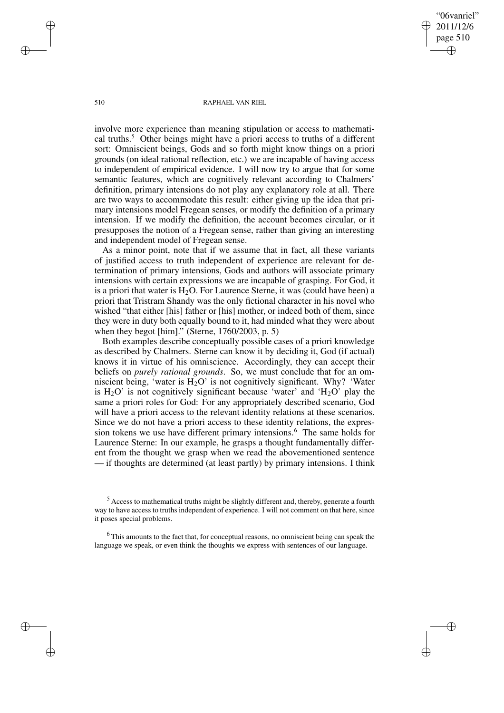"06vanriel" 2011/12/6 page 510 ✐ ✐

✐

✐

#### 510 RAPHAEL VAN RIEL

involve more experience than meaning stipulation or access to mathematical truths.<sup>5</sup> Other beings might have a priori access to truths of a different sort: Omniscient beings, Gods and so forth might know things on a priori grounds (on ideal rational reflection, etc.) we are incapable of having access to independent of empirical evidence. I will now try to argue that for some semantic features, which are cognitively relevant according to Chalmers' definition, primary intensions do not play any explanatory role at all. There are two ways to accommodate this result: either giving up the idea that primary intensions model Fregean senses, or modify the definition of a primary intension. If we modify the definition, the account becomes circular, or it presupposes the notion of a Fregean sense, rather than giving an interesting and independent model of Fregean sense.

As a minor point, note that if we assume that in fact, all these variants of justified access to truth independent of experience are relevant for determination of primary intensions, Gods and authors will associate primary intensions with certain expressions we are incapable of grasping. For God, it is a priori that water is  $H_2O$ . For Laurence Sterne, it was (could have been) a priori that Tristram Shandy was the only fictional character in his novel who wished "that either [his] father or [his] mother, or indeed both of them, since they were in duty both equally bound to it, had minded what they were about when they begot [him]." (Sterne, 1760/2003, p. 5)

Both examples describe conceptually possible cases of a priori knowledge as described by Chalmers. Sterne can know it by deciding it, God (if actual) knows it in virtue of his omniscience. Accordingly, they can accept their beliefs on *purely rational grounds*. So, we must conclude that for an omniscient being, 'water is  $H_2O'$  is not cognitively significant. Why? 'Water is  $H_2O'$  is not cognitively significant because 'water' and ' $H_2O'$  play the same a priori roles for God: For any appropriately described scenario, God will have a priori access to the relevant identity relations at these scenarios. Since we do not have a priori access to these identity relations, the expression tokens we use have different primary intensions.<sup>6</sup> The same holds for Laurence Sterne: In our example, he grasps a thought fundamentally different from the thought we grasp when we read the abovementioned sentence — if thoughts are determined (at least partly) by primary intensions. I think

✐

✐

✐

 $<sup>5</sup>$  Access to mathematical truths might be slightly different and, thereby, generate a fourth</sup> way to have access to truths independent of experience. I will not comment on that here, since it poses special problems.

<sup>6</sup> This amounts to the fact that, for conceptual reasons, no omniscient being can speak the language we speak, or even think the thoughts we express with sentences of our language.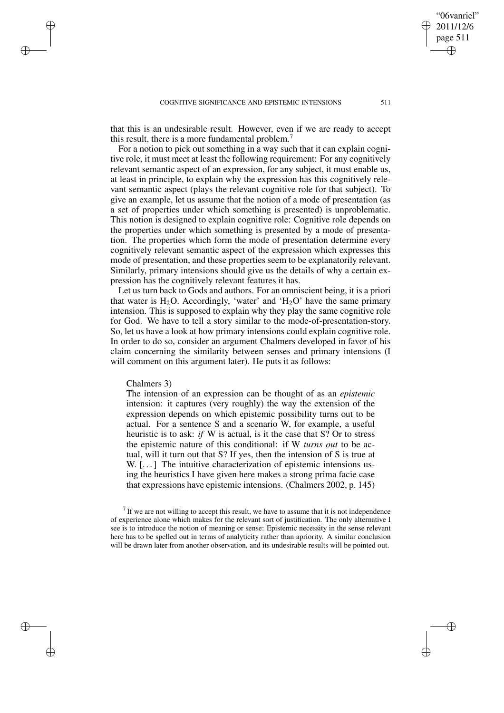that this is an undesirable result. However, even if we are ready to accept this result, there is a more fundamental problem.<sup>7</sup>

For a notion to pick out something in a way such that it can explain cognitive role, it must meet at least the following requirement: For any cognitively relevant semantic aspect of an expression, for any subject, it must enable us, at least in principle, to explain why the expression has this cognitively relevant semantic aspect (plays the relevant cognitive role for that subject). To give an example, let us assume that the notion of a mode of presentation (as a set of properties under which something is presented) is unproblematic. This notion is designed to explain cognitive role: Cognitive role depends on the properties under which something is presented by a mode of presentation. The properties which form the mode of presentation determine every cognitively relevant semantic aspect of the expression which expresses this mode of presentation, and these properties seem to be explanatorily relevant. Similarly, primary intensions should give us the details of why a certain expression has the cognitively relevant features it has.

Let us turn back to Gods and authors. For an omniscient being, it is a priori that water is  $H_2O$ . Accordingly, 'water' and ' $H_2O$ ' have the same primary intension. This is supposed to explain why they play the same cognitive role for God. We have to tell a story similar to the mode-of-presentation-story. So, let us have a look at how primary intensions could explain cognitive role. In order to do so, consider an argument Chalmers developed in favor of his claim concerning the similarity between senses and primary intensions (I will comment on this argument later). He puts it as follows:

### Chalmers 3)

✐

✐

✐

✐

The intension of an expression can be thought of as an *epistemic* intension: it captures (very roughly) the way the extension of the expression depends on which epistemic possibility turns out to be actual. For a sentence S and a scenario W, for example, a useful heuristic is to ask: *if* W is actual, is it the case that S? Or to stress the epistemic nature of this conditional: if W *turns out* to be actual, will it turn out that S? If yes, then the intension of S is true at W. [...] The intuitive characterization of epistemic intensions using the heuristics I have given here makes a strong prima facie case that expressions have epistemic intensions. (Chalmers 2002, p. 145)

"06vanriel" 2011/12/6 page 511

✐

✐

✐

 $<sup>7</sup>$  If we are not willing to accept this result, we have to assume that it is not independence</sup> of experience alone which makes for the relevant sort of justification. The only alternative I see is to introduce the notion of meaning or sense: Epistemic necessity in the sense relevant here has to be spelled out in terms of analyticity rather than apriority. A similar conclusion will be drawn later from another observation, and its undesirable results will be pointed out.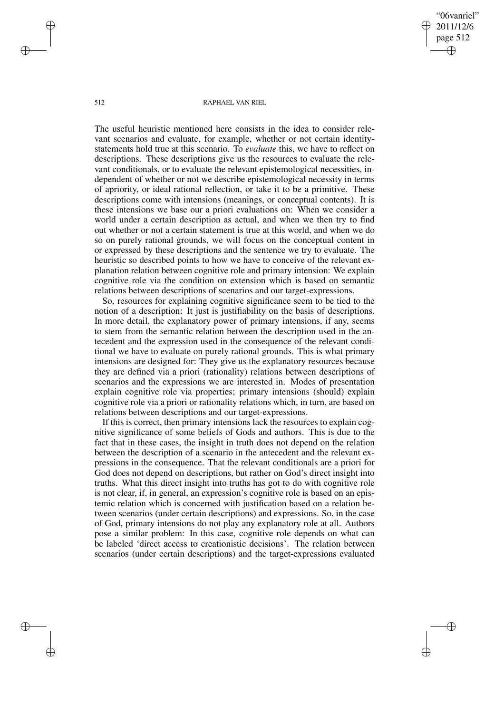"06vanriel" 2011/12/6 page 512 ✐ ✐

✐

✐

#### 512 RAPHAEL VAN RIEL

The useful heuristic mentioned here consists in the idea to consider relevant scenarios and evaluate, for example, whether or not certain identitystatements hold true at this scenario. To *evaluate* this, we have to reflect on descriptions. These descriptions give us the resources to evaluate the relevant conditionals, or to evaluate the relevant epistemological necessities, independent of whether or not we describe epistemological necessity in terms of apriority, or ideal rational reflection, or take it to be a primitive. These descriptions come with intensions (meanings, or conceptual contents). It is these intensions we base our a priori evaluations on: When we consider a world under a certain description as actual, and when we then try to find out whether or not a certain statement is true at this world, and when we do so on purely rational grounds, we will focus on the conceptual content in or expressed by these descriptions and the sentence we try to evaluate. The heuristic so described points to how we have to conceive of the relevant explanation relation between cognitive role and primary intension: We explain cognitive role via the condition on extension which is based on semantic relations between descriptions of scenarios and our target-expressions.

So, resources for explaining cognitive significance seem to be tied to the notion of a description: It just is justifiability on the basis of descriptions. In more detail, the explanatory power of primary intensions, if any, seems to stem from the semantic relation between the description used in the antecedent and the expression used in the consequence of the relevant conditional we have to evaluate on purely rational grounds. This is what primary intensions are designed for: They give us the explanatory resources because they are defined via a priori (rationality) relations between descriptions of scenarios and the expressions we are interested in. Modes of presentation explain cognitive role via properties; primary intensions (should) explain cognitive role via a priori or rationality relations which, in turn, are based on relations between descriptions and our target-expressions.

If this is correct, then primary intensions lack the resources to explain cognitive significance of some beliefs of Gods and authors. This is due to the fact that in these cases, the insight in truth does not depend on the relation between the description of a scenario in the antecedent and the relevant expressions in the consequence. That the relevant conditionals are a priori for God does not depend on descriptions, but rather on God's direct insight into truths. What this direct insight into truths has got to do with cognitive role is not clear, if, in general, an expression's cognitive role is based on an epistemic relation which is concerned with justification based on a relation between scenarios (under certain descriptions) and expressions. So, in the case of God, primary intensions do not play any explanatory role at all. Authors pose a similar problem: In this case, cognitive role depends on what can be labeled 'direct access to creationistic decisions'. The relation between scenarios (under certain descriptions) and the target-expressions evaluated

✐

✐

✐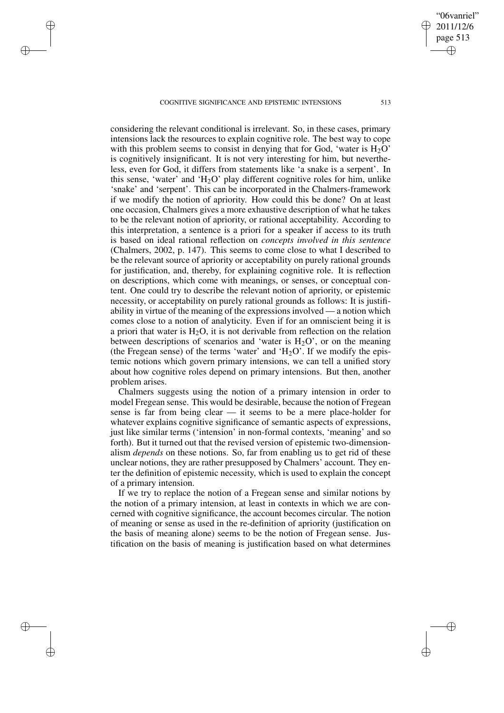✐

✐

✐

✐

considering the relevant conditional is irrelevant. So, in these cases, primary intensions lack the resources to explain cognitive role. The best way to cope with this problem seems to consist in denying that for God, 'water is  $H_2O'$ ' is cognitively insignificant. It is not very interesting for him, but nevertheless, even for God, it differs from statements like 'a snake is a serpent'. In this sense, 'water' and ' $H_2O$ ' play different cognitive roles for him, unlike 'snake' and 'serpent'. This can be incorporated in the Chalmers-framework if we modify the notion of apriority. How could this be done? On at least one occasion, Chalmers gives a more exhaustive description of what he takes to be the relevant notion of apriority, or rational acceptability. According to this interpretation, a sentence is a priori for a speaker if access to its truth is based on ideal rational reflection on *concepts involved in this sentence* (Chalmers, 2002, p. 147). This seems to come close to what I described to be the relevant source of apriority or acceptability on purely rational grounds for justification, and, thereby, for explaining cognitive role. It is reflection on descriptions, which come with meanings, or senses, or conceptual content. One could try to describe the relevant notion of apriority, or epistemic necessity, or acceptability on purely rational grounds as follows: It is justifiability in virtue of the meaning of the expressions involved — a notion which comes close to a notion of analyticity. Even if for an omniscient being it is a priori that water is  $H_2O$ , it is not derivable from reflection on the relation between descriptions of scenarios and 'water is  $H_2O'$ , or on the meaning (the Fregean sense) of the terms 'water' and ' $H<sub>2</sub>O$ '. If we modify the epistemic notions which govern primary intensions, we can tell a unified story about how cognitive roles depend on primary intensions. But then, another problem arises.

Chalmers suggests using the notion of a primary intension in order to model Fregean sense. This would be desirable, because the notion of Fregean sense is far from being clear — it seems to be a mere place-holder for whatever explains cognitive significance of semantic aspects of expressions, just like similar terms ('intension' in non-formal contexts, 'meaning' and so forth). But it turned out that the revised version of epistemic two-dimensionalism *depends* on these notions. So, far from enabling us to get rid of these unclear notions, they are rather presupposed by Chalmers' account. They enter the definition of epistemic necessity, which is used to explain the concept of a primary intension.

If we try to replace the notion of a Fregean sense and similar notions by the notion of a primary intension, at least in contexts in which we are concerned with cognitive significance, the account becomes circular. The notion of meaning or sense as used in the re-definition of apriority (justification on the basis of meaning alone) seems to be the notion of Fregean sense. Justification on the basis of meaning is justification based on what determines

"06vanriel" 2011/12/6 page 513

✐

✐

✐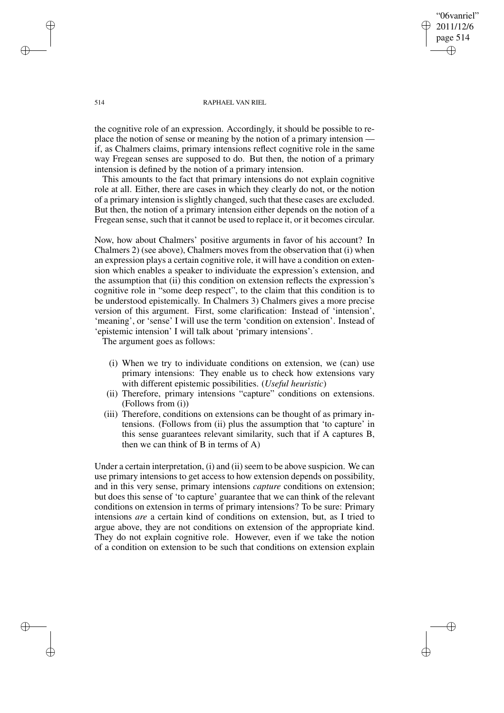"06vanriel" 2011/12/6 page 514 ✐ ✐

✐

✐

514 RAPHAEL VAN RIEL

the cognitive role of an expression. Accordingly, it should be possible to replace the notion of sense or meaning by the notion of a primary intension if, as Chalmers claims, primary intensions reflect cognitive role in the same way Fregean senses are supposed to do. But then, the notion of a primary intension is defined by the notion of a primary intension.

This amounts to the fact that primary intensions do not explain cognitive role at all. Either, there are cases in which they clearly do not, or the notion of a primary intension is slightly changed, such that these cases are excluded. But then, the notion of a primary intension either depends on the notion of a Fregean sense, such that it cannot be used to replace it, or it becomes circular.

Now, how about Chalmers' positive arguments in favor of his account? In Chalmers 2) (see above), Chalmers moves from the observation that (i) when an expression plays a certain cognitive role, it will have a condition on extension which enables a speaker to individuate the expression's extension, and the assumption that (ii) this condition on extension reflects the expression's cognitive role in "some deep respect", to the claim that this condition is to be understood epistemically. In Chalmers 3) Chalmers gives a more precise version of this argument. First, some clarification: Instead of 'intension', 'meaning', or 'sense' I will use the term 'condition on extension'. Instead of 'epistemic intension' I will talk about 'primary intensions'.

The argument goes as follows:

- (i) When we try to individuate conditions on extension, we (can) use primary intensions: They enable us to check how extensions vary with different epistemic possibilities. (*Useful heuristic*)
- (ii) Therefore, primary intensions "capture" conditions on extensions. (Follows from (i))
- (iii) Therefore, conditions on extensions can be thought of as primary intensions. (Follows from (ii) plus the assumption that 'to capture' in this sense guarantees relevant similarity, such that if A captures B, then we can think of B in terms of A)

Under a certain interpretation,  $(i)$  and  $(ii)$  seem to be above suspicion. We can use primary intensions to get access to how extension depends on possibility, and in this very sense, primary intensions *capture* conditions on extension; but does this sense of 'to capture' guarantee that we can think of the relevant conditions on extension in terms of primary intensions? To be sure: Primary intensions *are* a certain kind of conditions on extension, but, as I tried to argue above, they are not conditions on extension of the appropriate kind. They do not explain cognitive role. However, even if we take the notion of a condition on extension to be such that conditions on extension explain

✐

✐

✐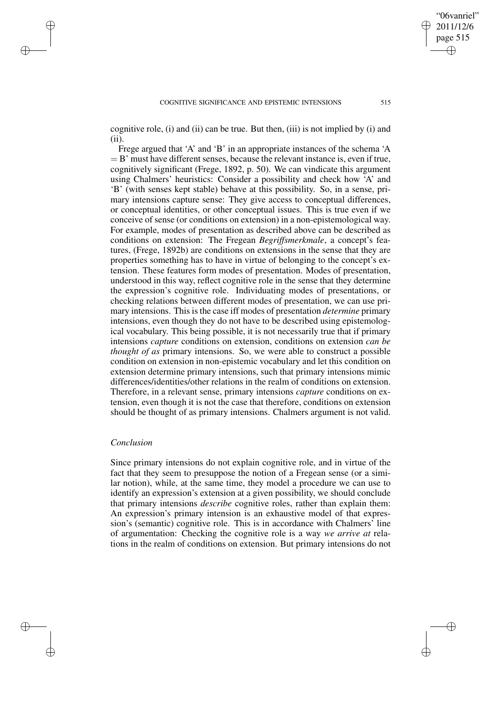cognitive role, (i) and (ii) can be true. But then, (iii) is not implied by (i) and (ii).

Frege argued that 'A' and 'B' in an appropriate instances of the schema 'A  $=$  B' must have different senses, because the relevant instance is, even if true, cognitively significant (Frege, 1892, p. 50). We can vindicate this argument using Chalmers' heuristics: Consider a possibility and check how 'A' and 'B' (with senses kept stable) behave at this possibility. So, in a sense, primary intensions capture sense: They give access to conceptual differences, or conceptual identities, or other conceptual issues. This is true even if we conceive of sense (or conditions on extension) in a non-epistemological way. For example, modes of presentation as described above can be described as conditions on extension: The Fregean *Begriffsmerkmale*, a concept's features, (Frege, 1892b) are conditions on extensions in the sense that they are properties something has to have in virtue of belonging to the concept's extension. These features form modes of presentation. Modes of presentation, understood in this way, reflect cognitive role in the sense that they determine the expression's cognitive role. Individuating modes of presentations, or checking relations between different modes of presentation, we can use primary intensions. This is the case iff modes of presentation *determine* primary intensions, even though they do not have to be described using epistemological vocabulary. This being possible, it is not necessarily true that if primary intensions *capture* conditions on extension, conditions on extension *can be thought of as* primary intensions. So, we were able to construct a possible condition on extension in non-epistemic vocabulary and let this condition on extension determine primary intensions, such that primary intensions mimic differences/identities/other relations in the realm of conditions on extension. Therefore, in a relevant sense, primary intensions *capture* conditions on extension, even though it is not the case that therefore, conditions on extension should be thought of as primary intensions. Chalmers argument is not valid.

# *Conclusion*

✐

✐

✐

✐

Since primary intensions do not explain cognitive role, and in virtue of the fact that they seem to presuppose the notion of a Fregean sense (or a similar notion), while, at the same time, they model a procedure we can use to identify an expression's extension at a given possibility, we should conclude that primary intensions *describe* cognitive roles, rather than explain them: An expression's primary intension is an exhaustive model of that expression's (semantic) cognitive role. This is in accordance with Chalmers' line of argumentation: Checking the cognitive role is a way *we arrive at* relations in the realm of conditions on extension. But primary intensions do not

"06vanriel" 2011/12/6 page 515

✐

✐

✐